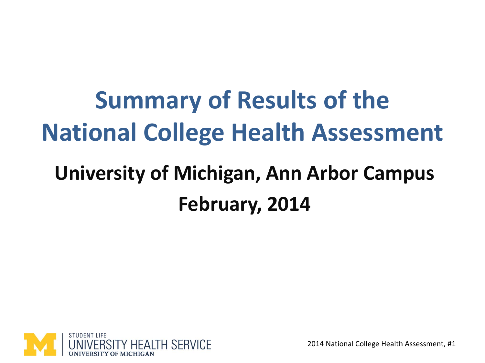#### **Summary of Results of the National College Health Assessment**

#### **University of Michigan, Ann Arbor Campus February, 2014**

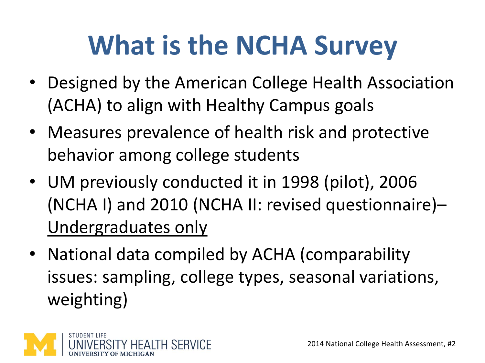## **What is the NCHA Survey**

- Designed by the American College Health Association (ACHA) to align with Healthy Campus goals
- Measures prevalence of health risk and protective behavior among college students
- UM previously conducted it in 1998 (pilot), 2006 (NCHA I) and 2010 (NCHA II: revised questionnaire)– Undergraduates only
- National data compiled by ACHA (comparability issues: sampling, college types, seasonal variations, weighting)

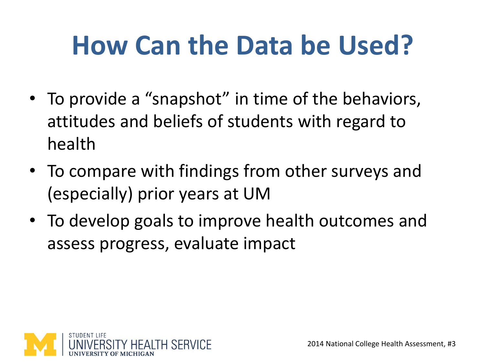### **How Can the Data be Used?**

- To provide a "snapshot" in time of the behaviors, attitudes and beliefs of students with regard to health
- To compare with findings from other surveys and (especially) prior years at UM
- To develop goals to improve health outcomes and assess progress, evaluate impact

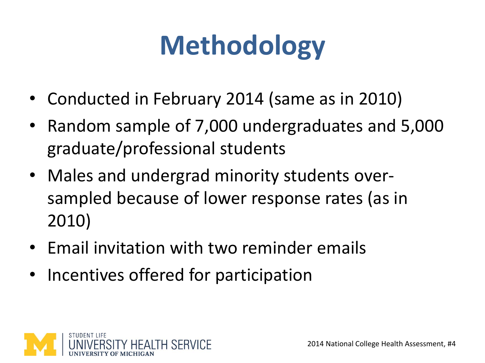## **Methodology**

- Conducted in February 2014 (same as in 2010)
- Random sample of 7,000 undergraduates and 5,000 graduate/professional students
- Males and undergrad minority students oversampled because of lower response rates (as in 2010)
- Email invitation with two reminder emails
- Incentives offered for participation

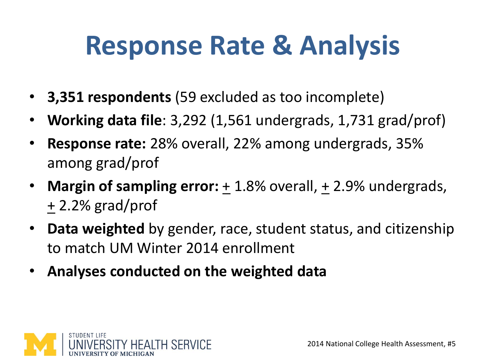#### **Response Rate & Analysis**

- **3,351 respondents** (59 excluded as too incomplete)
- **Working data file**: 3,292 (1,561 undergrads, 1,731 grad/prof)
- **Response rate:** 28% overall, 22% among undergrads, 35% among grad/prof
- **Margin of sampling error:** + 1.8% overall, + 2.9% undergrads, + 2.2% grad/prof
- **Data weighted** by gender, race, student status, and citizenship to match UM Winter 2014 enrollment
- **Analyses conducted on the weighted data**

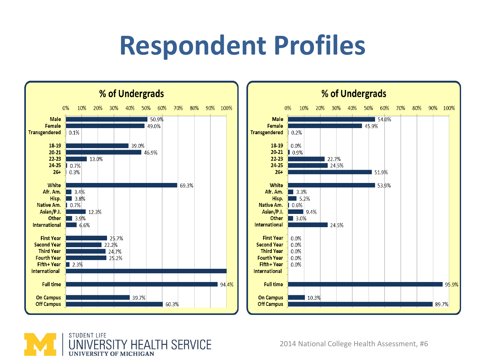#### **Respondent Profiles**





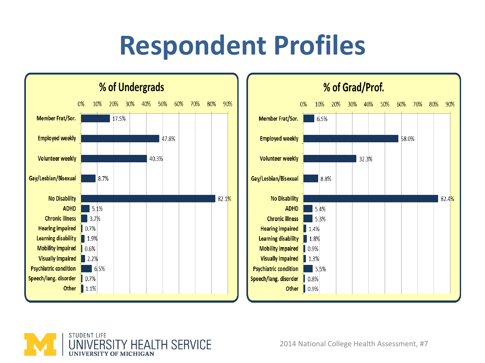#### **Respondent Profiles**





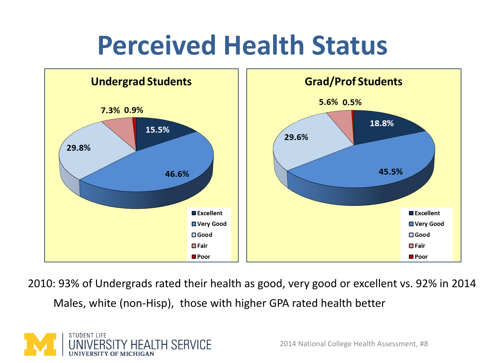#### **Perceived Health Status**



2010: 93% of Undergrads rated their health as good, very good or excellent vs. 92% in 2014 Males, white (non-Hisp), those with higher GPA rated health better

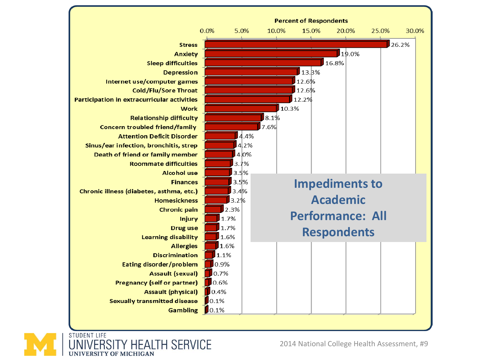



2014 National College Health Assessment, #9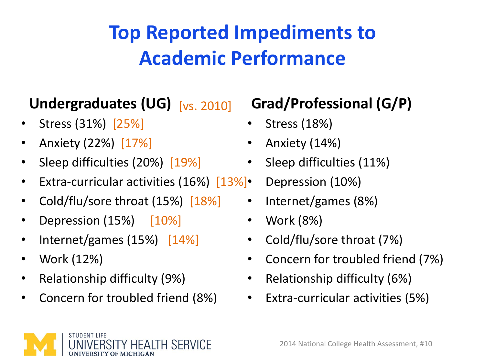#### **Top Reported Impediments to Academic Performance**

#### Undergraduates (UG) [vs. 2010]

- Stress (31%) [25%]
- Anxiety (22%) [17%]
- Sleep difficulties (20%) [19%]
- Extra-curricular activities  $(16%)$   $[13%]$
- Cold/flu/sore throat (15%) [18%]
- Depression  $(15%)$   $[10%]$
- Internet/games (15%) [14%]
- Work (12%)
- Relationship difficulty (9%)
- Concern for troubled friend (8%)

#### **Grad/Professional (G/P)**

- Stress (18%)
- Anxiety (14%)
- Sleep difficulties (11%)
- Depression (10%)
	- Internet/games (8%)
	- Work (8%)
	- Cold/flu/sore throat (7%)
	- Concern for troubled friend (7%)
	- Relationship difficulty (6%)
	- Extra-curricular activities (5%)

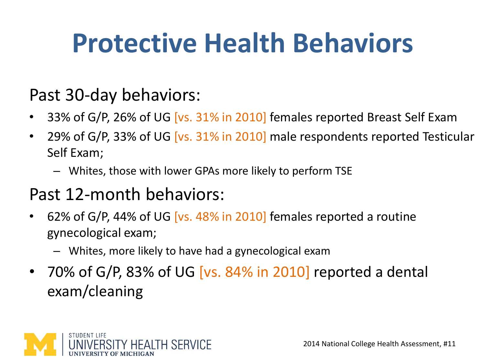## **Protective Health Behaviors**

#### Past 30-day behaviors:

- 33% of G/P, 26% of UG [vs. 31% in 2010] females reported Breast Self Exam
- 29% of G/P, 33% of UG [vs. 31% in 2010] male respondents reported Testicular Self Exam;
	- Whites, those with lower GPAs more likely to perform TSE

#### Past 12-month behaviors:

- 62% of G/P, 44% of UG  $[vs. 48% in 2010]$  females reported a routine gynecological exam;
	- Whites, more likely to have had a gynecological exam
- 70% of G/P, 83% of UG [vs. 84% in 2010] reported a dental exam/cleaning

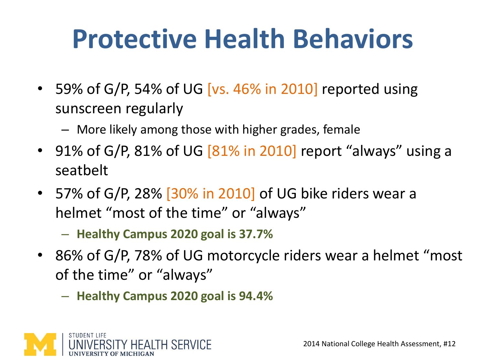## **Protective Health Behaviors**

- 59% of G/P, 54% of UG [vs. 46% in 2010] reported using sunscreen regularly
	- More likely among those with higher grades, female
- 91% of G/P, 81% of UG [81% in 2010] report "always" using a seatbelt
- 57% of G/P, 28% [30% in 2010] of UG bike riders wear a helmet "most of the time" or "always"
	- **Healthy Campus 2020 goal is 37.7%**
- 86% of G/P, 78% of UG motorcycle riders wear a helmet "most of the time" or "always"
	- **Healthy Campus 2020 goal is 94.4%**

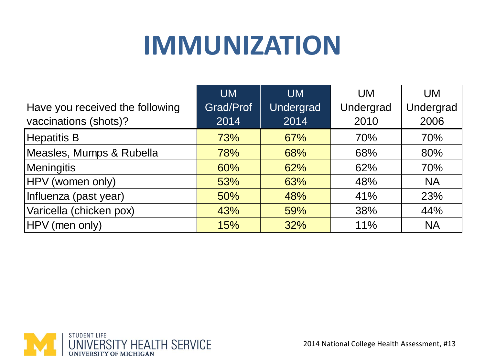#### **IMMUNIZATION**

|                                 | <b>UM</b> | <b>UM</b> | <b>UM</b> | <b>UM</b> |
|---------------------------------|-----------|-----------|-----------|-----------|
| Have you received the following | Grad/Prof | Undergrad | Undergrad | Undergrad |
| vaccinations (shots)?           | 2014      | 2014      | 2010      | 2006      |
| Hepatitis B                     | 73%       | 67%       | 70%       | 70%       |
| Measles, Mumps & Rubella        | 78%       | 68%       | 68%       | 80%       |
| Meningitis                      | 60%       | 62%       | 62%       | 70%       |
| HPV (women only)                | 53%       | 63%       | 48%       | <b>NA</b> |
| Influenza (past year)           | 50%       | 48%       | 41%       | 23%       |
| Varicella (chicken pox)         | 43%       | 59%       | 38%       | 44%       |
| HPV (men only)                  | 15%       | 32%       | 11%       | <b>NA</b> |

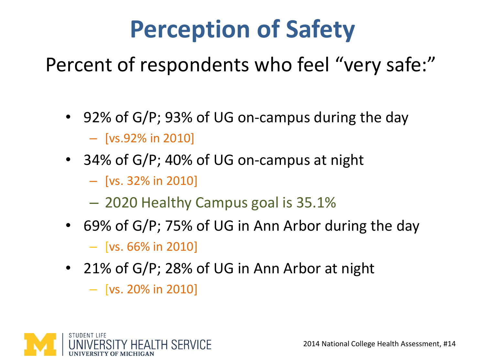#### **Perception of Safety**

Percent of respondents who feel "very safe:"

- 92% of G/P; 93% of UG on-campus during the day – [vs.92% in 2010]
- 34% of G/P; 40% of UG on-campus at night
	- [vs. 32% in 2010]
	- 2020 Healthy Campus goal is 35.1%
- 69% of G/P; 75% of UG in Ann Arbor during the day

 $-$  [vs. 66% in 2010]

- 21% of G/P; 28% of UG in Ann Arbor at night
	- $-$  [vs. 20% in 2010]

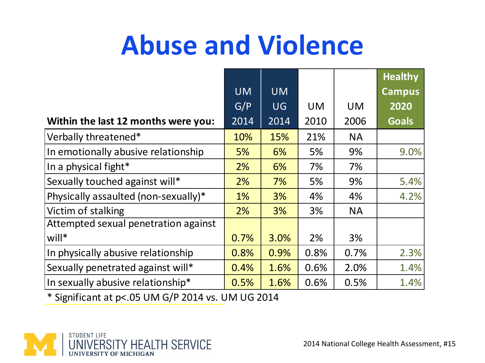#### **Abuse and Violence**

|                                      |           |           |           |           | <b>Healthy</b> |
|--------------------------------------|-----------|-----------|-----------|-----------|----------------|
|                                      | <b>UM</b> | <b>UM</b> |           |           | <b>Campus</b>  |
|                                      | G/P       | <b>UG</b> | <b>UM</b> | <b>UM</b> | 2020           |
| Within the last 12 months were you:  | 2014      | 2014      | 2010      | 2006      | <b>Goals</b>   |
| Verbally threatened*                 | 10%       | 15%       | 21%       | <b>NA</b> |                |
| In emotionally abusive relationship  | 5%        | 6%        | 5%        | 9%        | 9.0%           |
| In a physical fight*                 | 2%        | 6%        | 7%        | 7%        |                |
| Sexually touched against will*       | 2%        | 7%        | 5%        | 9%        | 5.4%           |
| Physically assaulted (non-sexually)* | 1%        | 3%        | 4%        | 4%        | 4.2%           |
| Victim of stalking                   | 2%        | 3%        | 3%        | <b>NA</b> |                |
| Attempted sexual penetration against |           |           |           |           |                |
| will*                                | 0.7%      | 3.0%      | 2%        | 3%        |                |
| In physically abusive relationship   | 0.8%      | 0.9%      | 0.8%      | 0.7%      | 2.3%           |
| Sexually penetrated against will*    | 0.4%      | 1.6%      | 0.6%      | 2.0%      | 1.4%           |
| In sexually abusive relationship*    | 0.5%      | 1.6%      | 0.6%      | 0.5%      | 1.4%           |

\* Significant at p<.05 UM G/P 2014 vs. UM UG 2014

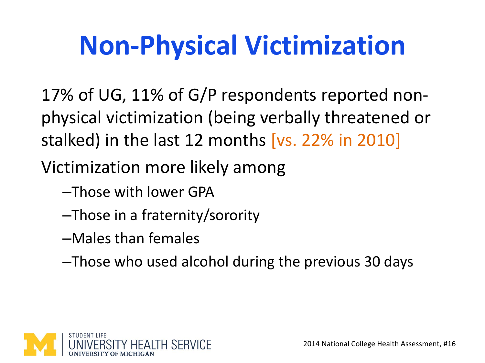## **Non-Physical Victimization**

17% of UG, 11% of G/P respondents reported nonphysical victimization (being verbally threatened or stalked) in the last 12 months [vs. 22% in 2010]

Victimization more likely among

–Those with lower GPA

–Those in a fraternity/sorority

–Males than females

–Those who used alcohol during the previous 30 days

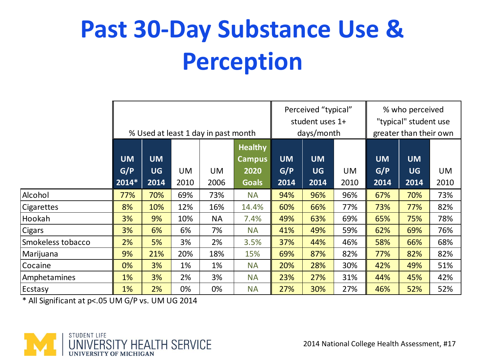#### **Past 30-Day Substance Use & Perception**

|                                                  | % Used at least 1 day in past month |                                |                   |            |                                                         |                          | Perceived "typical"<br>student uses 1+<br>days/month |            | % who perceived<br>"typical" student use<br>greater than their own |                                |            |
|--------------------------------------------------|-------------------------------------|--------------------------------|-------------------|------------|---------------------------------------------------------|--------------------------|------------------------------------------------------|------------|--------------------------------------------------------------------|--------------------------------|------------|
|                                                  | <b>UM</b><br>G/P<br>$ 2014* $       | <b>UM</b><br><b>UG</b><br>2014 | <b>UM</b><br>2010 | UM<br>2006 | <b>Healthy</b><br><b>Campus</b><br>2020<br><b>Goals</b> | <b>UM</b><br>G/P<br>2014 | <b>UM</b><br><b>UG</b><br>2014                       | UM<br>2010 | <b>UM</b><br>G/P<br>2014                                           | <b>UM</b><br><b>UG</b><br>2014 | UM<br>2010 |
| Alcohol                                          | 77%                                 | 70%                            | 69%               | 73%        | <b>NA</b>                                               | 94%                      | 96%                                                  | 96%        | 67%                                                                | 70%                            | 73%        |
| Cigarettes                                       | 8%                                  | 10%                            | 12%               | 16%        | 14.4%                                                   | 60%                      | 66%                                                  | 77%        | 73%                                                                | 77%                            | 82%        |
| Hookah                                           | 3%                                  | 9%                             | 10%               | <b>NA</b>  | 7.4%                                                    | 49%                      | 63%                                                  | 69%        | 65%                                                                | 75%                            | 78%        |
| Cigars                                           | 3%                                  | 6%                             | 6%                | 7%         | <b>NA</b>                                               | 41%                      | 49%                                                  | 59%        | 62%                                                                | 69%                            | 76%        |
| Smokeless tobacco                                | 2%                                  | 5%                             | 3%                | 2%         | 3.5%                                                    | 37%                      | 44%                                                  | 46%        | 58%                                                                | 66%                            | 68%        |
| Marijuana                                        | 9%                                  | 21%                            | 20%               | 18%        | 15%                                                     | 69%                      | 87%                                                  | 82%        | 77%                                                                | 82%                            | 82%        |
| Cocaine                                          | 0%                                  | 3%                             | 1%                | 1%         | <b>NA</b>                                               | 20%                      | 28%                                                  | 30%        | 42%                                                                | 49%                            | 51%        |
| Amphetamines                                     | 1%                                  | 3%                             | 2%                | 3%         | <b>NA</b>                                               | 23%                      | 27%                                                  | 31%        | 44%                                                                | 45%                            | 42%        |
| Ecstasy                                          | 1%                                  | 2%                             | 0%                | 0%         | <b>NA</b>                                               | 27%                      | 30%                                                  | 27%        | 46%                                                                | 52%                            | 52%        |
| * All Significant at p<.05 UM G/P vs. UM UG 2014 |                                     |                                |                   |            |                                                         |                          |                                                      |            |                                                                    |                                |            |

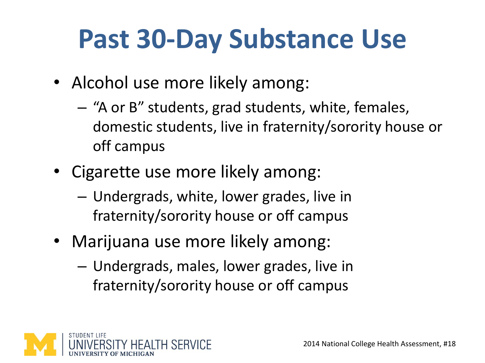## **Past 30-Day Substance Use**

- Alcohol use more likely among:
	- "A or B" students, grad students, white, females, domestic students, live in fraternity/sorority house or off campus
- Cigarette use more likely among:
	- Undergrads, white, lower grades, live in fraternity/sorority house or off campus
- Marijuana use more likely among:
	- Undergrads, males, lower grades, live in fraternity/sorority house or off campus

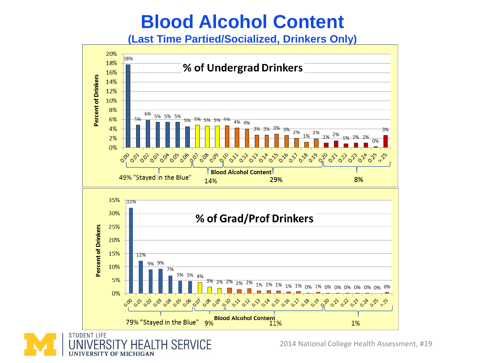#### **Blood Alcohol Content**

**(Last Time Partied/Socialized, Drinkers Only)**





2014 National College Health Assessment, #19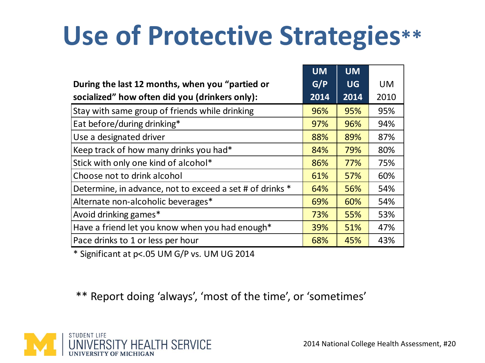## **Use of Protective Strategies\*\***

|                                                          | <b>UM</b> | <b>UM</b> |           |
|----------------------------------------------------------|-----------|-----------|-----------|
| During the last 12 months, when you "partied or          | G/P       | <b>UG</b> | <b>UM</b> |
| socialized" how often did you (drinkers only):           | 2014      | 2014      | 2010      |
| Stay with same group of friends while drinking           | 96%       | 95%       | 95%       |
| Eat before/during drinking*                              | 97%       | 96%       | 94%       |
| Use a designated driver                                  | 88%       | 89%       | 87%       |
| Keep track of how many drinks you had*                   | 84%       | 79%       | 80%       |
| Stick with only one kind of alcohol*                     | 86%       | 77%       | 75%       |
| Choose not to drink alcohol                              | 61%       | 57%       | 60%       |
| Determine, in advance, not to exceed a set # of drinks * | 64%       | 56%       | 54%       |
| Alternate non-alcoholic beverages*                       | 69%       | 60%       | 54%       |
| Avoid drinking games*                                    | 73%       | 55%       | 53%       |
| Have a friend let you know when you had enough*          | 39%       | 51%       | 47%       |
| Pace drinks to 1 or less per hour                        | 68%       | 45%       | 43%       |

\* Significant at p<.05 UM G/P vs. UM UG 2014

\*\* Report doing 'always', 'most of the time', or 'sometimes'

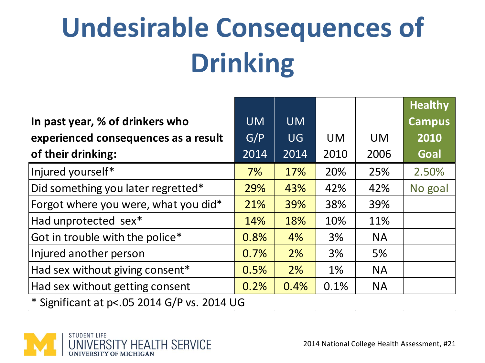# **Undesirable Consequences of Drinking**

|                                             |           |           |           |           | <b>Healthy</b> |
|---------------------------------------------|-----------|-----------|-----------|-----------|----------------|
| In past year, % of drinkers who             | <b>UM</b> | <b>UM</b> |           |           | <b>Campus</b>  |
| experienced consequences as a result        | G/P       | <b>UG</b> | <b>UM</b> | <b>UM</b> | 2010           |
| of their drinking:                          | 2014      | 2014      | 2010      | 2006      | Goal           |
| Injured yourself*                           | 7%        | 17%       | 20%       | 25%       | 2.50%          |
| Did something you later regretted*          | 29%       | 43%       | 42%       | 42%       | No goal        |
| Forgot where you were, what you did*        | 21%       | 39%       | 38%       | 39%       |                |
| Had unprotected sex*                        | 14%       | 18%       | 10%       | 11%       |                |
| Got in trouble with the police*             | 0.8%      | 4%        | 3%        | <b>NA</b> |                |
| Injured another person                      | 0.7%      | 2%        | 3%        | 5%        |                |
| Had sex without giving consent*             | 0.5%      | 2%        | $1\%$     | <b>NA</b> |                |
| Had sex without getting consent             | 0.2%      | 0.4%      | 0.1%      | <b>NA</b> |                |
| * Significant at p<.05 2014 G/P vs. 2014 UG |           |           |           |           |                |

\* Significant at p<.05 2014 G/P vs. 2014 UG

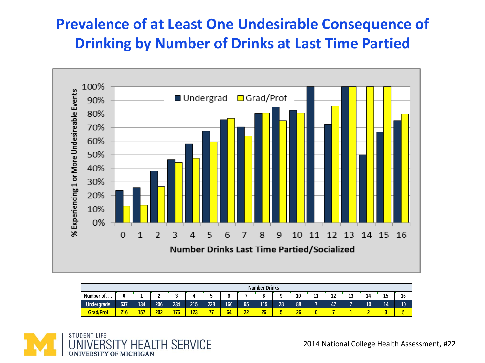#### **Prevalence of at Least One Undesirable Consequence of Drinking by Number of Drinks at Last Time Partied**



| <b>Number Drinks</b> |     |     |     |     |     |     |     |          |     |    |    |           |    |         |    |                                |    |
|----------------------|-----|-----|-----|-----|-----|-----|-----|----------|-----|----|----|-----------|----|---------|----|--------------------------------|----|
| Number of            |     |     |     |     |     |     |     |          |     | a  | 10 | 44<br>. . | 12 | "<br>IJ | 14 | $\overline{\phantom{a}}$<br>17 | 16 |
| Undergrads           | 537 | 134 | 206 | 234 | 215 | 228 | 160 | 95       | 115 | 28 | 88 |           | 47 |         | 10 | 14                             | 10 |
| <b>Grad/Prof</b>     | 216 | 157 | 202 | 176 | 123 | 77  | 64  | n۵<br>44 | 26  | w  | 26 |           |    |         |    |                                |    |

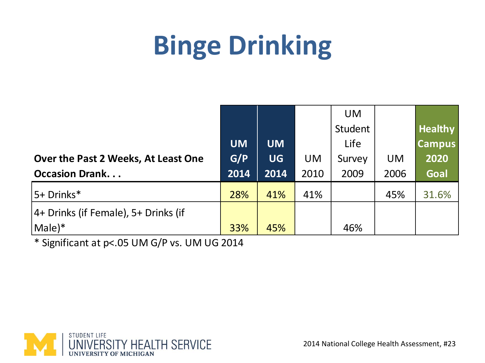## **Binge Drinking**

|                                      |           |           |           | <b>UM</b> |           |                |
|--------------------------------------|-----------|-----------|-----------|-----------|-----------|----------------|
|                                      |           |           |           | Student   |           | <b>Healthy</b> |
|                                      | <b>UM</b> | <b>UM</b> |           | Life      |           | <b>Campus</b>  |
| Over the Past 2 Weeks, At Least One  | G/P       | <b>UG</b> | <b>UM</b> | Survey    | <b>UM</b> | 2020           |
| <b>Occasion Drank</b>                | 2014      | 2014      | 2010      | 2009      | 2006      | Goal           |
| 5+ Drinks*                           | 28%       | 41%       | 41%       |           | 45%       | 31.6%          |
| 4+ Drinks (if Female), 5+ Drinks (if |           |           |           |           |           |                |
| Male)*                               | 33%       | 45%       |           | 46%       |           |                |

\* Significant at p<.05 UM G/P vs. UM UG 2014

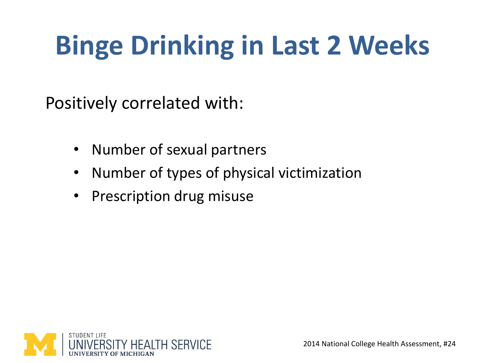## **Binge Drinking in Last 2 Weeks**

Positively correlated with:

- Number of sexual partners
- Number of types of physical victimization
- Prescription drug misuse

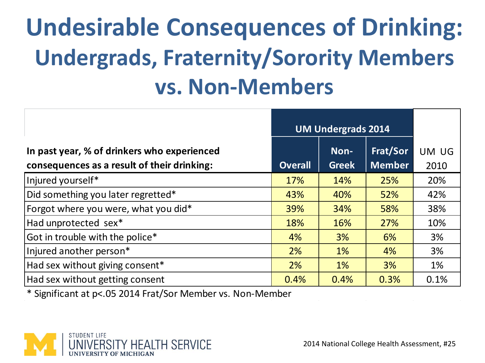#### **Undesirable Consequences of Drinking: Undergrads, Fraternity/Sorority Members vs. Non-Members**

|                                                                                            | <b>UM Undergrads 2014</b> |                      |                           |               |
|--------------------------------------------------------------------------------------------|---------------------------|----------------------|---------------------------|---------------|
| In past year, % of drinkers who experienced<br>consequences as a result of their drinking: | <b>Overall</b>            | Non-<br><b>Greek</b> | Frat/Sor<br><b>Member</b> | UM UG<br>2010 |
| Injured yourself*                                                                          | 17%                       | 14%                  | 25%                       | 20%           |
| Did something you later regretted*                                                         | 43%                       | 40%                  | 52%                       | 42%           |
| Forgot where you were, what you did*                                                       | 39%                       | 34%                  | 58%                       | 38%           |
| Had unprotected sex*                                                                       | 18%                       | 16%                  | 27%                       | 10%           |
| Got in trouble with the police*                                                            | 4%                        | 3%                   | 6%                        | 3%            |
| Injured another person*                                                                    | 2%                        | 1%                   | 4%                        | 3%            |
| Had sex without giving consent*                                                            | 2%                        | 1%                   | 3%                        | 1%            |
| Had sex without getting consent                                                            | 0.4%                      | 0.4%                 | 0.3%                      | 0.1%          |

\* Significant at p<.05 2014 Frat/Sor Member vs. Non-Member

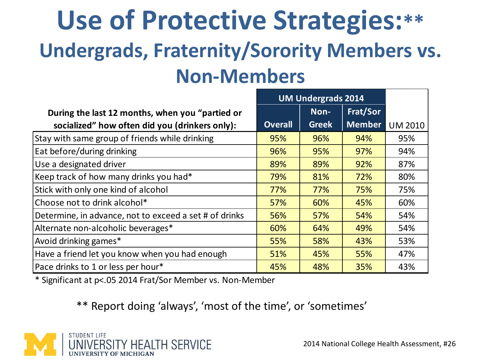#### **Use of Protective Strategies:\*\* Undergrads, Fraternity/Sorority Members vs. Non-Members**

|                                                        |                | <b>UM Undergrads 2014</b> |               |                |
|--------------------------------------------------------|----------------|---------------------------|---------------|----------------|
| During the last 12 months, when you "partied or        |                | Non-                      | Frat/Sor      |                |
| socialized" how often did you (drinkers only):         | <b>Overall</b> | <b>Greek</b>              | <b>Member</b> | <b>UM 2010</b> |
| Stay with same group of friends while drinking         | 95%            | 96%                       | 94%           | 95%            |
| Eat before/during drinking                             | 96%            | 95%                       | 97%           | 94%            |
| Use a designated driver                                | 89%            | 89%                       | 92%           | 87%            |
| Keep track of how many drinks you had*                 | 79%            | 81%                       | 72%           | 80%            |
| Stick with only one kind of alcohol                    | 77%            | 77%                       | 75%           | 75%            |
| Choose not to drink alcohol*                           | 57%            | 60%                       | 45%           | 60%            |
| Determine, in advance, not to exceed a set # of drinks | 56%            | 57%                       | 54%           | 54%            |
| Alternate non-alcoholic beverages*                     | 60%            | 64%                       | 49%           | 54%            |
| Avoid drinking games*                                  | 55%            | 58%                       | 43%           | 53%            |
| Have a friend let you know when you had enough         | 51%            | 45%                       | 55%           | 47%            |
| Pace drinks to 1 or less per hour*                     | 45%            | 48%                       | 35%           | 43%            |

\* Significant at p<.05 2014 Frat/Sor Member vs. Non-Member

\*\* Report doing 'always', 'most of the time', or 'sometimes'

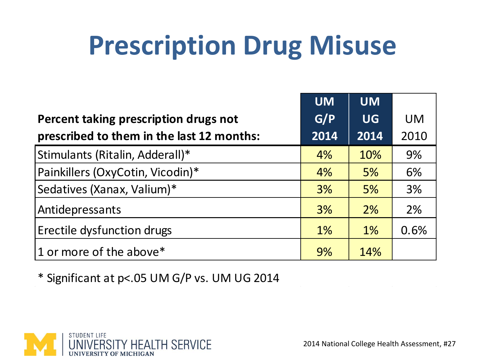#### **Prescription Drug Misuse**

|                                           | <b>UM</b> | <b>UM</b> |           |
|-------------------------------------------|-----------|-----------|-----------|
| Percent taking prescription drugs not     | G/P       | <b>UG</b> | <b>UM</b> |
| prescribed to them in the last 12 months: | 2014      | 2014      | 2010      |
| Stimulants (Ritalin, Adderall)*           | 4%        | 10%       | 9%        |
| Painkillers (OxyCotin, Vicodin)*          | 4%        | 5%        | 6%        |
| Sedatives (Xanax, Valium)*                | 3%        | 5%        | 3%        |
| Antidepressants                           | 3%        | 2%        | 2%        |
| <b>Erectile dysfunction drugs</b>         | $1\%$     | 1%        | 0.6%      |
| $ 1$ or more of the above*                | 9%        | 14%       |           |

\* Significant at p<.05 UM G/P vs. UM UG 2014

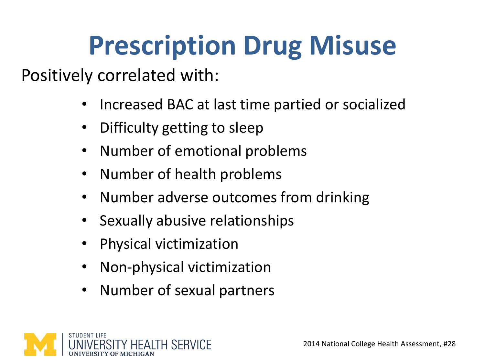### **Prescription Drug Misuse**

Positively correlated with:

- Increased BAC at last time partied or socialized
- Difficulty getting to sleep
- Number of emotional problems
- Number of health problems
- Number adverse outcomes from drinking
- Sexually abusive relationships
- Physical victimization
- Non-physical victimization
- Number of sexual partners

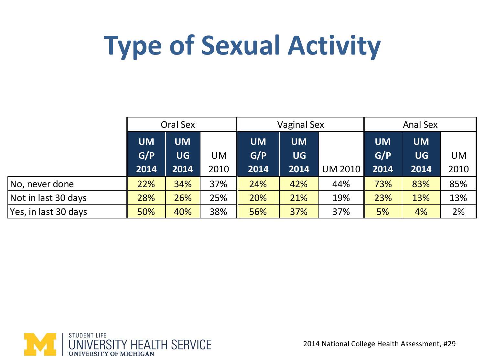## **Type of Sexual Activity**

|                      |           | Oral Sex  |      |           | <b>Vaginal Sex</b> |         | <b>Anal Sex</b> |           |           |  |
|----------------------|-----------|-----------|------|-----------|--------------------|---------|-----------------|-----------|-----------|--|
|                      | <b>UM</b> | <b>UM</b> |      | <b>UM</b> | <b>UM</b>          |         | <b>UM</b>       | <b>UM</b> |           |  |
|                      | G/P       | <b>UG</b> | UM   | G/P       | <b>UG</b>          |         | G/P             | <b>UG</b> | <b>UM</b> |  |
|                      | 2014      | 2014      | 2010 | 2014      | 2014               | UM 2010 | 2014            | 2014      | 2010      |  |
| No, never done       | 22%       | 34%       | 37%  | 24%       | 42%                | 44%     | 73%             | 83%       | 85%       |  |
| Not in last 30 days  | 28%       | 26%       | 25%  | 20%       | 21%                | 19%     | 23%             | 13%       | 13%       |  |
| Yes, in last 30 days | 50%       | 40%       | 38%  | 56%       | 37%                | 37%     | 5%              | 4%        | 2%        |  |

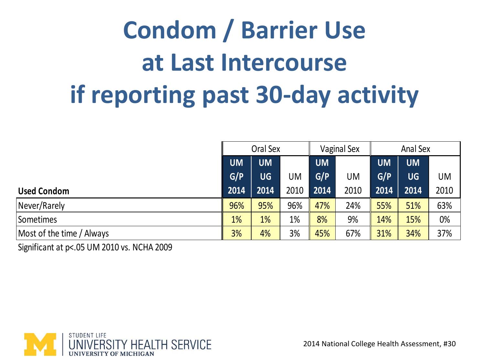## **Condom / Barrier Use at Last Intercourse if reporting past 30-day activity**

|                           |           | Oral Sex  |      |           | <b>Vaginal Sex</b> | <b>Anal Sex</b> |           |      |
|---------------------------|-----------|-----------|------|-----------|--------------------|-----------------|-----------|------|
|                           | <b>UM</b> | <b>UM</b> |      | <b>UM</b> |                    | <b>UM</b>       | <b>UM</b> |      |
|                           | G/P       | <b>UG</b> | UM   | G/P       | UM                 | G/P             | <b>UG</b> | UM   |
| <b>Used Condom</b>        | 2014      | 2014      | 2010 | 2014      | 2010               | 2014            | 2014      | 2010 |
| Never/Rarely              | 96%       | 95%       | 96%  | 47%       | 24%                | 55%             | 51%       | 63%  |
| Sometimes                 | 1%        | 1%        | 1%   | 8%        | 9%                 | 14%             | 15%       | 0%   |
| Most of the time / Always | 3%        | 4%        | 3%   | 45%       | 67%                | 31%             | 34%       | 37%  |

Significant at p<.05 UM 2010 vs. NCHA 2009

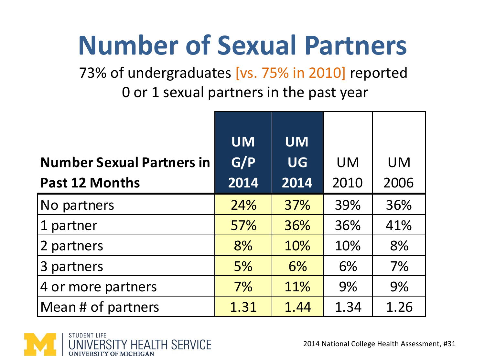### **Number of Sexual Partners**

73% of undergraduates [vs. 75% in 2010] reported 0 or 1 sexual partners in the past year

|                                  | <b>UM</b>        | <b>UM</b> |           |           |
|----------------------------------|------------------|-----------|-----------|-----------|
| <b>Number Sexual Partners in</b> | $\overline{G/P}$ | <b>UG</b> | <b>UM</b> | <b>UM</b> |
| <b>Past 12 Months</b>            | 2014             | 2014      | 2010      | 2006      |
| No partners                      | 24%              | 37%       | 39%       | 36%       |
| 1 partner                        | 57%              | 36%       | 36%       | 41%       |
| 2 partners                       | 8%               | 10%       | 10%       | 8%        |
| 3 partners                       | 5%               | 6%        | 6%        | 7%        |
| 4 or more partners               | 7%               | 11%       | 9%        | 9%        |
| Mean # of partners               | 1.31             | 1.44      | 1.34      | 1.26      |

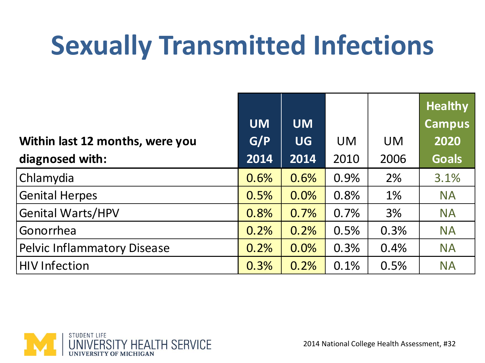## **Sexually Transmitted Infections**

|                                    |           |           |           |           | <b>Healthy</b> |
|------------------------------------|-----------|-----------|-----------|-----------|----------------|
|                                    | <b>UM</b> | <b>UM</b> |           |           | <b>Campus</b>  |
| Within last 12 months, were you    | G/P       | <b>UG</b> | <b>UM</b> | <b>UM</b> | 2020           |
| diagnosed with:                    | 2014      | 2014      | 2010      | 2006      | <b>Goals</b>   |
| Chlamydia                          | 0.6%      | 0.6%      | 0.9%      | 2%        | 3.1%           |
| <b>Genital Herpes</b>              | 0.5%      | 0.0%      | 0.8%      | 1%        | <b>NA</b>      |
| <b>Genital Warts/HPV</b>           | 0.8%      | 0.7%      | 0.7%      | 3%        | <b>NA</b>      |
| Gonorrhea                          | 0.2%      | 0.2%      | 0.5%      | 0.3%      | <b>NA</b>      |
| <b>Pelvic Inflammatory Disease</b> | 0.2%      | 0.0%      | 0.3%      | 0.4%      | <b>NA</b>      |
| <b>HIV Infection</b>               | 0.3%      | 0.2%      | 0.1%      | 0.5%      | <b>NA</b>      |
|                                    |           |           |           |           |                |

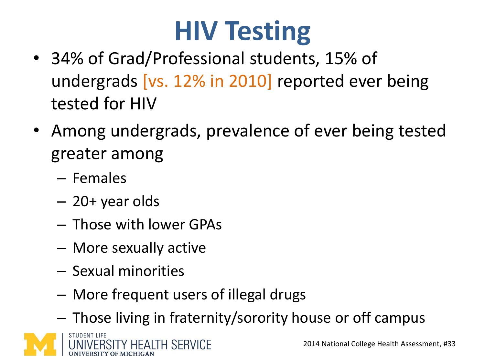## **HIV Testing**

- 34% of Grad/Professional students, 15% of undergrads [vs. 12% in 2010] reported ever being tested for HIV
- Among undergrads, prevalence of ever being tested greater among
	- Females
	- 20+ year olds
	- Those with lower GPAs
	- More sexually active
	- Sexual minorities
	- More frequent users of illegal drugs
	- Those living in fraternity/sorority house or off campus

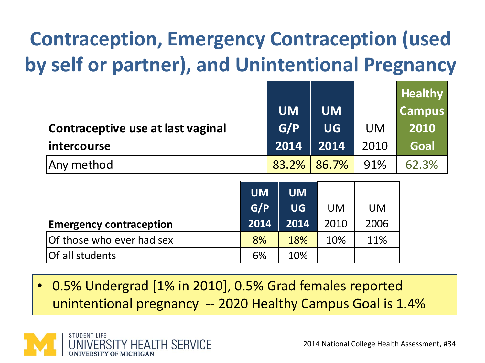#### **Contraception, Emergency Contraception (used by self or partner), and Unintentional Pregnancy**

|                                   |           |           |           | <b>Healthy</b> |
|-----------------------------------|-----------|-----------|-----------|----------------|
|                                   | <b>UM</b> | <b>UM</b> |           | <b>Campus</b>  |
| Contraceptive use at last vaginal | G/P       | <b>UG</b> | <b>UM</b> | 2010           |
| <i>intercourse</i>                | 2014      | 2014      | 2010      | Goal           |
| Any method                        | 83.2%     | 86.7%     | 91%       | 62.3%          |

| Contraceptive use at last vaginal                                                                                      |                          | G/P                            | <b>UG</b>         | <b>UM</b>         | 2010                                         |  |  |
|------------------------------------------------------------------------------------------------------------------------|--------------------------|--------------------------------|-------------------|-------------------|----------------------------------------------|--|--|
| intercourse                                                                                                            |                          | 2014                           | 2014              | 2010              | Goal                                         |  |  |
| Any method                                                                                                             |                          | 83.2%                          | 86.7%             | 91%               | 62.3%                                        |  |  |
| <b>Emergency contraception</b>                                                                                         | <b>UM</b><br>G/P<br>2014 | <b>UM</b><br><b>UG</b><br>2014 | <b>UM</b><br>2010 | <b>UM</b><br>2006 |                                              |  |  |
| Of those who ever had sex                                                                                              | 8%                       | 18%                            | 10%               | 11%               |                                              |  |  |
| Of all students                                                                                                        | 6%                       | 10%                            |                   |                   |                                              |  |  |
|                                                                                                                        |                          |                                |                   |                   |                                              |  |  |
| 0.5% Undergrad [1% in 2010], 0.5% Grad females reported<br>unintentional pregnancy -- 2020 Healthy Campus Goal is 1.4% |                          |                                |                   |                   |                                              |  |  |
| STUDENT LIFE<br>UNIVERSITY HEALTH SERVICE                                                                              |                          |                                |                   |                   | 2014 National College Health Assessment, #34 |  |  |

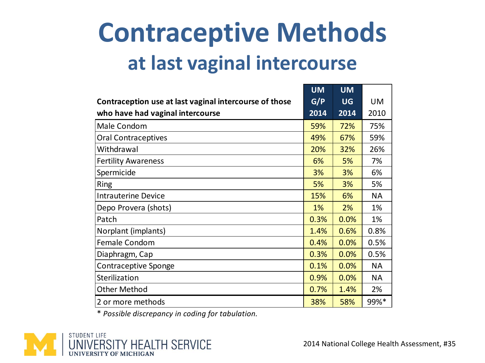#### **Contraceptive Methods at last vaginal intercourse**

|                                                        | <b>UM</b> | <b>UM</b> |           |
|--------------------------------------------------------|-----------|-----------|-----------|
| Contraception use at last vaginal intercourse of those | G/P       | <b>UG</b> | <b>UM</b> |
| who have had vaginal intercourse                       | 2014      | 2014      | 2010      |
| Male Condom                                            | 59%       | 72%       | 75%       |
| <b>Oral Contraceptives</b>                             | 49%       | 67%       | 59%       |
| Withdrawal                                             | 20%       | 32%       | 26%       |
| <b>Fertility Awareness</b>                             | 6%        | 5%        | 7%        |
| Spermicide                                             | 3%        | 3%        | 6%        |
| <b>Ring</b>                                            | 5%        | 3%        | 5%        |
| <b>Intrauterine Device</b>                             | 15%       | 6%        | <b>NA</b> |
| Depo Provera (shots)                                   | 1%        | 2%        | 1%        |
| Patch                                                  | 0.3%      | 0.0%      | 1%        |
| Norplant (implants)                                    | 1.4%      | 0.6%      | 0.8%      |
| Female Condom                                          | 0.4%      | 0.0%      | 0.5%      |
| Diaphragm, Cap                                         | 0.3%      | 0.0%      | 0.5%      |
| <b>Contraceptive Sponge</b>                            | 0.1%      | 0.0%      | <b>NA</b> |
| Sterilization                                          | 0.9%      | 0.0%      | <b>NA</b> |
| <b>Other Method</b>                                    | 0.7%      | 1.4%      | 2%        |
| 2 or more methods                                      | 38%       | 58%       | 99%*      |

\* *Possible discrepancy in coding for tabulation.*

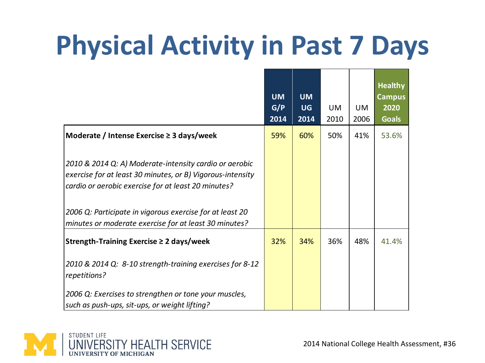## **Physical Activity in Past 7 Days**

|                                                                                                                                                                             | <b>UM</b><br>G/P<br>2014 | <b>UM</b><br><b>UG</b><br>2014 | <b>UM</b><br>2010 | <b>UM</b><br>2006 | <b>Healthy</b><br><b>Campus</b><br>2020<br><b>Goals</b> |
|-----------------------------------------------------------------------------------------------------------------------------------------------------------------------------|--------------------------|--------------------------------|-------------------|-------------------|---------------------------------------------------------|
| Moderate / Intense Exercise $\geq$ 3 days/week                                                                                                                              | 59%                      | 60%                            | 50%               | 41%               | 53.6%                                                   |
| 2010 & 2014 Q: A) Moderate-intensity cardio or aerobic<br>exercise for at least 30 minutes, or B) Vigorous-intensity<br>cardio or aerobic exercise for at least 20 minutes? |                          |                                |                   |                   |                                                         |
| 2006 Q: Participate in vigorous exercise for at least 20                                                                                                                    |                          |                                |                   |                   |                                                         |
| minutes or moderate exercise for at least 30 minutes?                                                                                                                       |                          |                                |                   |                   |                                                         |
| Strength-Training Exercise ≥ 2 days/week                                                                                                                                    | 32%                      | 34%                            | 36%               | 48%               | 41.4%                                                   |
| 2010 & 2014 Q: 8-10 strength-training exercises for 8-12<br>repetitions?                                                                                                    |                          |                                |                   |                   |                                                         |
| 2006 Q: Exercises to strengthen or tone your muscles,<br>such as push-ups, sit-ups, or weight lifting?                                                                      |                          |                                |                   |                   |                                                         |

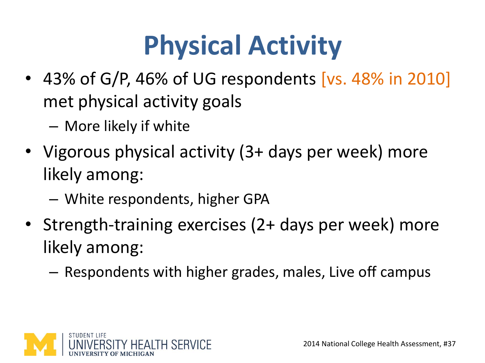## **Physical Activity**

- 43% of G/P, 46% of UG respondents [vs. 48% in 2010] met physical activity goals
	- More likely if white
- Vigorous physical activity (3+ days per week) more likely among:
	- White respondents, higher GPA
- Strength-training exercises (2+ days per week) more likely among:
	- Respondents with higher grades, males, Live off campus

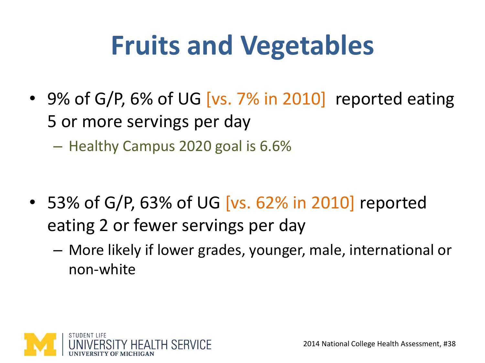## **Fruits and Vegetables**

• 9% of G/P, 6% of UG [vs. 7% in 2010] reported eating 5 or more servings per day

– Healthy Campus 2020 goal is 6.6%

- 53% of G/P, 63% of UG [vs. 62% in 2010] reported eating 2 or fewer servings per day
	- More likely if lower grades, younger, male, international or non-white

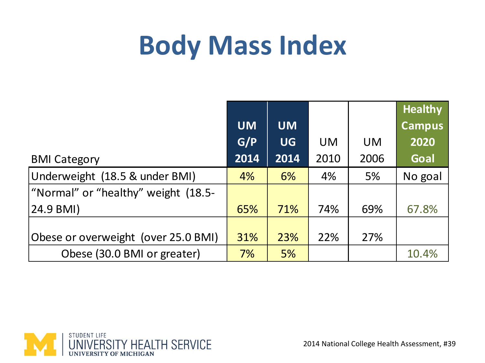#### **Body Mass Index**

|                                     |           |           |           |           | <b>Healthy</b> |
|-------------------------------------|-----------|-----------|-----------|-----------|----------------|
|                                     | <b>UM</b> | <b>UM</b> |           |           | <b>Campus</b>  |
|                                     | G/P       | <b>UG</b> | <b>UM</b> | <b>UM</b> | 2020           |
| <b>BMI Category</b>                 | 2014      | 2014      | 2010      | 2006      | Goal           |
| Underweight (18.5 & under BMI)      | 4%        | 6%        | 4%        | 5%        | No goal        |
| "Normal" or "healthy" weight (18.5- |           |           |           |           |                |
| 24.9 BMI)                           | 65%       | 71%       | 74%       | 69%       | 67.8%          |
|                                     |           |           |           |           |                |
| Obese or overweight (over 25.0 BMI) | 31%       | 23%       | 22%       | 27%       |                |
| Obese (30.0 BMI or greater)         | 7%        | 5%        |           |           | 10.4%          |

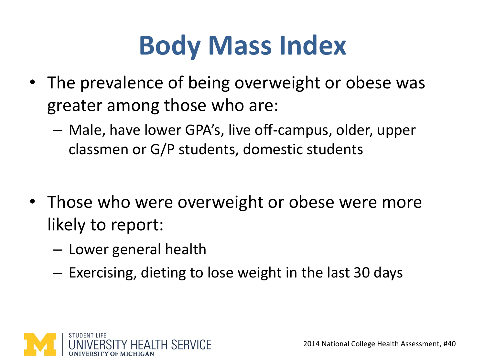## **Body Mass Index**

- The prevalence of being overweight or obese was greater among those who are:
	- Male, have lower GPA's, live off-campus, older, upper classmen or G/P students, domestic students
- Those who were overweight or obese were more likely to report:
	- Lower general health
	- Exercising, dieting to lose weight in the last 30 days

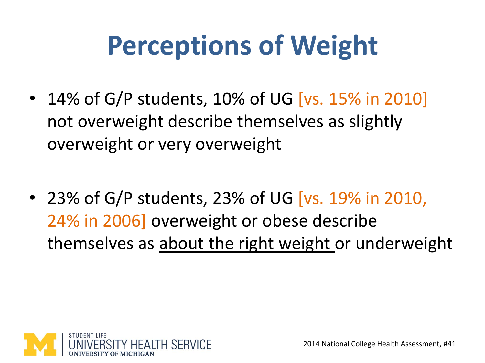## **Perceptions of Weight**

- 14% of G/P students, 10% of UG [vs. 15% in 2010] not overweight describe themselves as slightly overweight or very overweight
- 23% of G/P students, 23% of UG [vs. 19% in 2010, 24% in 2006] overweight or obese describe themselves as about the right weight or underweight

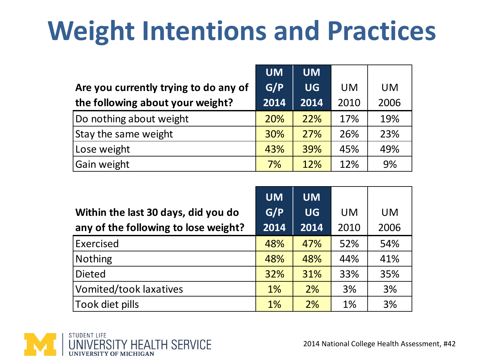## **Weight Intentions and Practices**

|                                       | <b>UM</b> | <b>UM</b> |           |           |
|---------------------------------------|-----------|-----------|-----------|-----------|
| Are you currently trying to do any of | G/P       | <b>UG</b> | <b>UM</b> | <b>UM</b> |
| the following about your weight?      | 2014      | 2014      | 2010      | 2006      |
| Do nothing about weight               | 20%       | 22%       | 17%       | 19%       |
| Stay the same weight                  | 30%       | 27%       | 26%       | 23%       |
| Lose weight                           | 43%       | 39%       | 45%       | 49%       |
| Gain weight                           | 7%        | 12%       | 12%       | 9%        |

| Within the last 30 days, did you do<br>any of the following to lose weight? | <b>UM</b><br>G/P<br>2014 | <b>UM</b><br><b>UG</b><br>2014 | UM<br>2010 | <b>UM</b><br>2006 |
|-----------------------------------------------------------------------------|--------------------------|--------------------------------|------------|-------------------|
| Exercised                                                                   | 48%                      | 47%                            | 52%        | 54%               |
| <b>Nothing</b>                                                              | 48%                      | 48%                            | 44%        | 41%               |
| <b>Dieted</b>                                                               | 32%                      | 31%                            | 33%        | 35%               |
| <b>Vomited/took laxatives</b>                                               | $1\%$                    | 2%                             | 3%         | 3%                |
| Took diet pills                                                             | 1%                       | 2%                             | 1%         | 3%                |

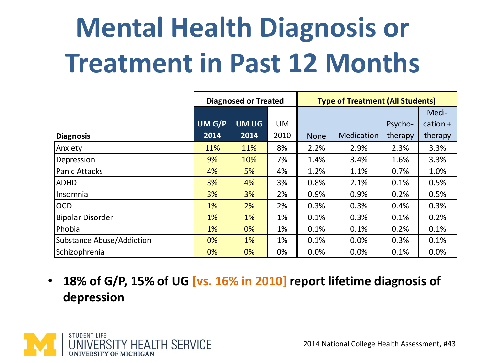# **Mental Health Diagnosis or Treatment in Past 12 Months**

|                           | <b>Diagnosed or Treated</b> |             |           | <b>Type of Treatment (All Students)</b> |            |         |            |
|---------------------------|-----------------------------|-------------|-----------|-----------------------------------------|------------|---------|------------|
|                           |                             |             |           |                                         |            |         | Medi-      |
|                           | UM G/P                      | <b>UMUG</b> | <b>UM</b> |                                         |            | Psycho- | $cation +$ |
| <b>Diagnosis</b>          | 2014                        | 2014        | 2010      | <b>None</b>                             | Medication | therapy | therapy    |
| Anxiety                   | 11%                         | 11%         | 8%        | 2.2%                                    | 2.9%       | 2.3%    | 3.3%       |
| Depression                | 9%                          | 10%         | 7%        | 1.4%                                    | 3.4%       | 1.6%    | 3.3%       |
| <b>Panic Attacks</b>      | 4%                          | 5%          | 4%        | 1.2%                                    | 1.1%       | 0.7%    | 1.0%       |
| <b>ADHD</b>               | 3%                          | 4%          | 3%        | 0.8%                                    | 2.1%       | 0.1%    | 0.5%       |
| Insomnia                  | 3%                          | 3%          | 2%        | 0.9%                                    | 0.9%       | 0.2%    | 0.5%       |
| <b>OCD</b>                | 1%                          | 2%          | 2%        | 0.3%                                    | 0.3%       | 0.4%    | 0.3%       |
| <b>Bipolar Disorder</b>   | 1%                          | $1\%$       | 1%        | 0.1%                                    | 0.3%       | 0.1%    | 0.2%       |
| Phobia                    | 1%                          | 0%          | 1%        | 0.1%                                    | 0.1%       | 0.2%    | 0.1%       |
| Substance Abuse/Addiction | 0%                          | 1%          | 1%        | 0.1%                                    | 0.0%       | 0.3%    | 0.1%       |
| Schizophrenia             | 0%                          | 0%          | 0%        | 0.0%                                    | 0.0%       | 0.1%    | 0.0%       |

• **18% of G/P, 15% of UG [vs. 16% in 2010] report lifetime diagnosis of depression**

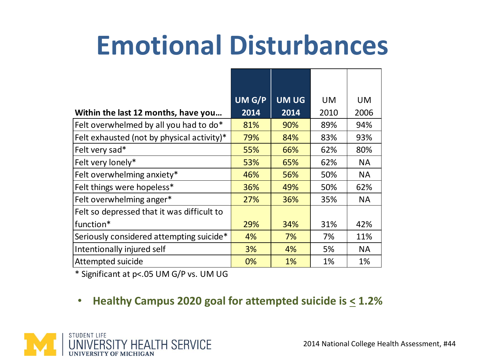#### **Emotional Disturbances**

|                                            | UM G/P | <b>UMUG</b> | <b>UM</b> | <b>UM</b> |
|--------------------------------------------|--------|-------------|-----------|-----------|
| Within the last 12 months, have you        | 2014   | 2014        | 2010      | 2006      |
| Felt overwhelmed by all you had to do*     | 81%    | 90%         | 89%       | 94%       |
| Felt exhausted (not by physical activity)* | 79%    | 84%         | 83%       | 93%       |
| Felt very sad*                             | 55%    | 66%         | 62%       | 80%       |
| Felt very lonely*                          | 53%    | 65%         | 62%       | <b>NA</b> |
| Felt overwhelming anxiety*                 | 46%    | 56%         | 50%       | <b>NA</b> |
| Felt things were hopeless*                 | 36%    | 49%         | 50%       | 62%       |
| Felt overwhelming anger*                   | 27%    | 36%         | 35%       | <b>NA</b> |
| Felt so depressed that it was difficult to |        |             |           |           |
| function*                                  | 29%    | 34%         | 31%       | 42%       |
| Seriously considered attempting suicide*   | 4%     | 7%          | 7%        | 11%       |
| Intentionally injured self                 | 3%     | 4%          | 5%        | <b>NA</b> |
| Attempted suicide                          | 0%     | 1%          | 1%        | 1%        |

\* Significant at p<.05 UM G/P vs. UM UG

• **Healthy Campus 2020 goal for attempted suicide is < 1.2%**

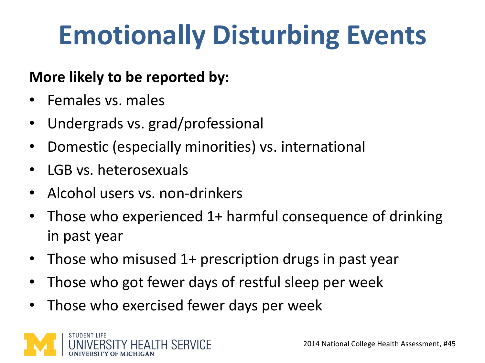## **Emotionally Disturbing Events**

#### **More likely to be reported by:**

- Females vs. males
- Undergrads vs. grad/professional
- Domestic (especially minorities) vs. international
- LGB vs. heterosexuals
- Alcohol users vs. non-drinkers
- Those who experienced 1+ harmful consequence of drinking in past year
- Those who misused 1+ prescription drugs in past year
- Those who got fewer days of restful sleep per week
- Those who exercised fewer days per week

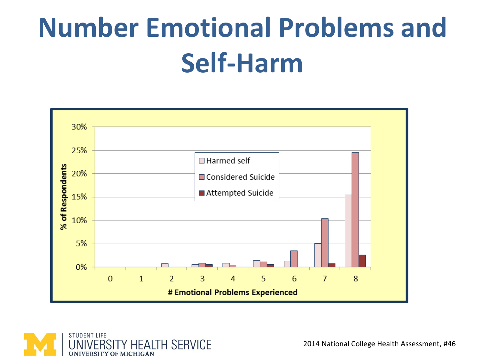## **Number Emotional Problems and Self-Harm**



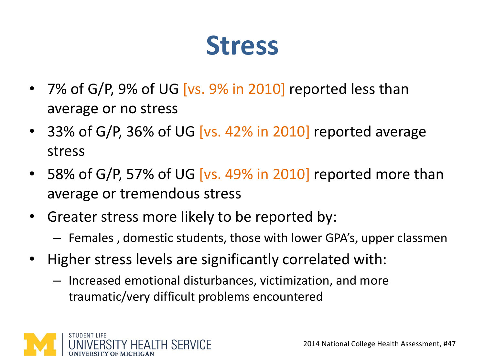#### **Stress**

- 7% of G/P, 9% of UG [vs. 9% in 2010] reported less than average or no stress
- 33% of G/P, 36% of UG [vs. 42% in 2010] reported average stress
- 58% of G/P, 57% of UG [vs. 49% in 2010] reported more than average or tremendous stress
- Greater stress more likely to be reported by:
	- Females , domestic students, those with lower GPA's, upper classmen
- Higher stress levels are significantly correlated with:
	- Increased emotional disturbances, victimization, and more traumatic/very difficult problems encountered

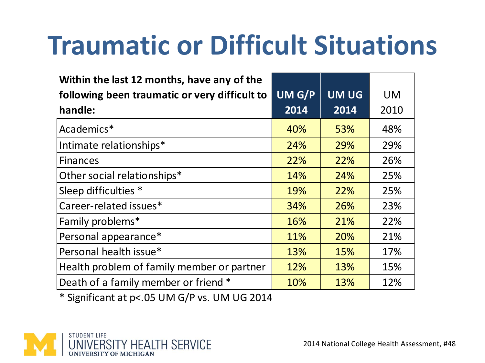#### **Traumatic or Difficult Situations**

| Within the last 12 months, have any of the<br>following been traumatic or very difficult to | UM G/P | <b>UM UG</b> | <b>UM</b> |
|---------------------------------------------------------------------------------------------|--------|--------------|-----------|
| handle:                                                                                     | 2014   | 2014         | 2010      |
| Academics*                                                                                  | 40%    | 53%          | 48%       |
| Intimate relationships*                                                                     | 24%    | 29%          | 29%       |
| <b>Finances</b>                                                                             | 22%    | 22%          | 26%       |
| Other social relationships*                                                                 | 14%    | 24%          | 25%       |
| Sleep difficulties *                                                                        | 19%    | 22%          | 25%       |
| Career-related issues*                                                                      | 34%    | 26%          | 23%       |
| Family problems*                                                                            | 16%    | 21%          | 22%       |
| Personal appearance*                                                                        | 11%    | 20%          | 21%       |
| Personal health issue*                                                                      | 13%    | 15%          | 17%       |
| Health problem of family member or partner                                                  | 12%    | 13%          | 15%       |
| Death of a family member or friend *                                                        | 10%    | 13%          | 12%       |

\* Significant at p<.05 UM G/P vs. UM UG 2014

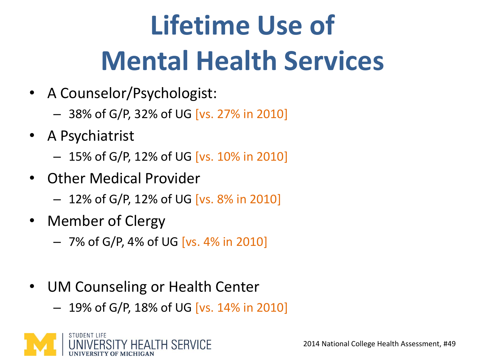# **Lifetime Use of Mental Health Services**

- A Counselor/Psychologist:
	- 38% of G/P, 32% of UG [vs. 27% in 2010]
- A Psychiatrist
	- 15% of G/P, 12% of UG [vs. 10% in 2010]
- Other Medical Provider
	- 12% of G/P, 12% of UG [vs. 8% in 2010]
- Member of Clergy
	- 7% of G/P, 4% of UG [vs. 4% in 2010]
- UM Counseling or Health Center
	- 19% of G/P, 18% of UG [vs. 14% in 2010]

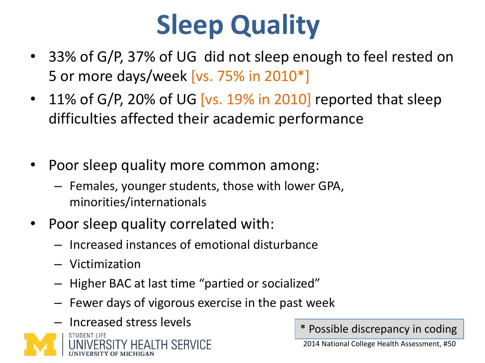## **Sleep Quality**

- 33% of G/P, 37% of UG did not sleep enough to feel rested on 5 or more days/week [vs. 75% in 2010\*]
- 11% of G/P, 20% of UG [vs. 19% in 2010] reported that sleep difficulties affected their academic performance
- Poor sleep quality more common among:
	- Females, younger students, those with lower GPA, minorities/internationals
- Poor sleep quality correlated with:
	- Increased instances of emotional disturbance
	- Victimization
	- Higher BAC at last time "partied or socialized"
	- Fewer days of vigorous exercise in the past week



\* Possible discrepancy in coding

2014 National College Health Assessment, #50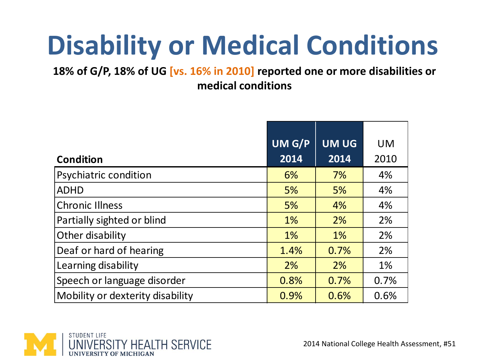## **Disability or Medical Conditions**

**18% of G/P, 18% of UG [vs. 16% in 2010] reported one or more disabilities or medical conditions**

|                                  | UM G/P | UM UG | <b>UM</b> |
|----------------------------------|--------|-------|-----------|
| <b>Condition</b>                 | 2014   | 2014  | 2010      |
| Psychiatric condition            | 6%     | 7%    | 4%        |
| <b>ADHD</b>                      | 5%     | 5%    | 4%        |
| <b>Chronic Illness</b>           | 5%     | 4%    | 4%        |
| Partially sighted or blind       | $1\%$  | 2%    | 2%        |
| Other disability                 | $1\%$  | 1%    | 2%        |
| Deaf or hard of hearing          | 1.4%   | 0.7%  | 2%        |
| Learning disability              | 2%     | 2%    | 1%        |
| Speech or language disorder      | 0.8%   | 0.7%  | 0.7%      |
| Mobility or dexterity disability | 0.9%   | 0.6%  | 0.6%      |

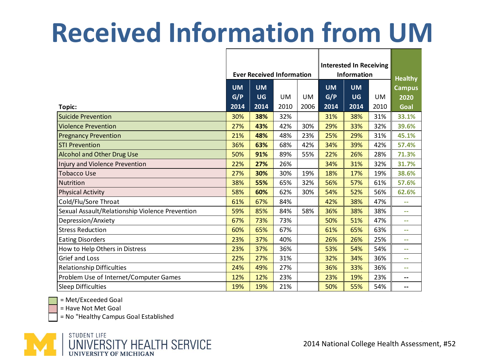# **Received Information from UM**

|                                                 |                                  |           |      | <b>Interested In Receiving</b> |           |           |                |                          |
|-------------------------------------------------|----------------------------------|-----------|------|--------------------------------|-----------|-----------|----------------|--------------------------|
|                                                 | <b>Ever Received Information</b> |           |      | <b>Information</b>             |           |           | <b>Healthy</b> |                          |
|                                                 | <b>UM</b>                        | <b>UM</b> |      |                                | <b>UM</b> | <b>UM</b> |                | <b>Campus</b>            |
|                                                 | G/P                              | <b>UG</b> | UM   | UM                             | G/P       | <b>UG</b> | UM             | 2020                     |
| Topic:                                          | 2014                             | 2014      | 2010 | 2006                           | 2014      | 2014      | 2010           | Goal                     |
| <b>Suicide Prevention</b>                       | 30%                              | 38%       | 32%  |                                | 31%       | 38%       | 31%            | 33.1%                    |
| <b>Violence Prevention</b>                      | 27%                              | 43%       | 42%  | 30%                            | 29%       | 33%       | 32%            | 39.6%                    |
| <b>Pregnancy Prevention</b>                     | 21%                              | 48%       | 48%  | 23%                            | 25%       | 29%       | 31%            | 45.1%                    |
| <b>STI Prevention</b>                           | 36%                              | 63%       | 68%  | 42%                            | 34%       | 39%       | 42%            | 57.4%                    |
| <b>Alcohol and Other Drug Use</b>               | 50%                              | 91%       | 89%  | 55%                            | 22%       | 26%       | 28%            | 71.3%                    |
| Injury and Violence Prevention                  | 22%                              | 27%       | 26%  |                                | 34%       | 31%       | 32%            | 31.7%                    |
| <b>Tobacco Use</b>                              | 27%                              | 30%       | 30%  | 19%                            | 18%       | 17%       | 19%            | 38.6%                    |
| Nutrition                                       | 38%                              | 55%       | 65%  | 32%                            | 56%       | 57%       | 61%            | 57.6%                    |
| <b>Physical Activity</b>                        | 58%                              | 60%       | 62%  | 30%                            | 54%       | 52%       | 56%            | 62.6%                    |
| Cold/Flu/Sore Throat                            | 61%                              | 67%       | 84%  |                                | 42%       | 38%       | 47%            | $\sim$ $\sim$            |
| Sexual Assault/Relationship Violence Prevention | 59%                              | 85%       | 84%  | 58%                            | 36%       | 38%       | 38%            | $\sim$ $\sim$            |
| Depression/Anxiety                              | 67%                              | 73%       | 73%  |                                | 50%       | 51%       | 47%            | ۰.                       |
| <b>Stress Reduction</b>                         | 60%                              | 65%       | 67%  |                                | 61%       | 65%       | 63%            | --                       |
| <b>Eating Disorders</b>                         | 23%                              | 37%       | 40%  |                                | 26%       | 26%       | 25%            | --                       |
| How to Help Others in Distress                  | 23%                              | 37%       | 36%  |                                | 53%       | 54%       | 54%            | --                       |
| <b>Grief and Loss</b>                           | 22%                              | 27%       | 31%  |                                | 32%       | 34%       | 36%            | $\sim$ $\sim$            |
| <b>Relationship Difficulties</b>                | 24%                              | 49%       | 27%  |                                | 36%       | 33%       | 36%            | --                       |
| Problem Use of Internet/Computer Games          | 12%                              | 12%       | 23%  |                                | 23%       | 19%       | 23%            | $\overline{\phantom{a}}$ |
| <b>Sleep Difficulties</b>                       | 19%                              | 19%       | 21%  |                                | 50%       | 55%       | 54%            | --                       |
| = Met/Exceeded Goal                             |                                  |           |      |                                |           |           |                |                          |

= Met/Exceeded Goal

= Have Not Met Goal

= No "Healthy Campus Goal Established

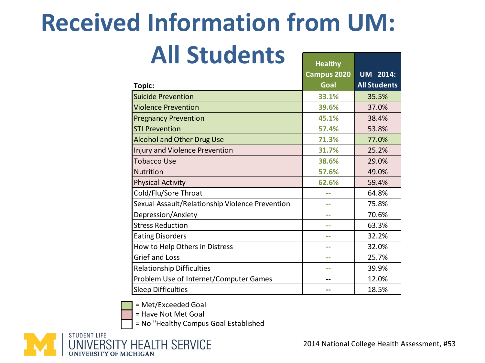#### **Received Information from UM:**

#### **All Students**

| <b>Healthy</b> |                     |
|----------------|---------------------|
| Campus 2020    | <b>UM</b> 2014:     |
| Goal           | <b>All Students</b> |
| 33.1%          | 35.5%               |
| 39.6%          | 37.0%               |
| 45.1%          | 38.4%               |
| 57.4%          | 53.8%               |
| 71.3%          | 77.0%               |
| 31.7%          | 25.2%               |
| 38.6%          | 29.0%               |
| 57.6%          | 49.0%               |
| 62.6%          | 59.4%               |
|                | 64.8%               |
| --             | 75.8%               |
|                | 70.6%               |
|                | 63.3%               |
|                | 32.2%               |
|                | 32.0%               |
|                | 25.7%               |
|                | 39.9%               |
|                | 12.0%               |
|                | 18.5%               |
|                |                     |

= Met/Exceeded Goal

= Have Not Met Goal

= No "Healthy Campus Goal Established

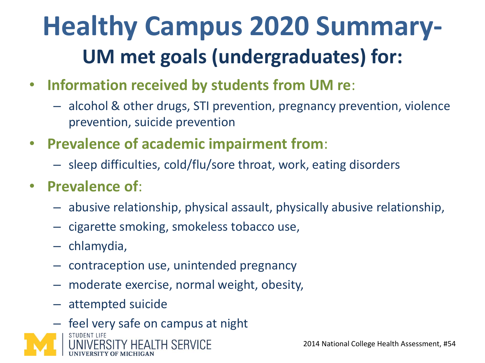#### **Healthy Campus 2020 Summary-UM met goals (undergraduates) for:**

- **Information received by students from UM re**:
	- alcohol & other drugs, STI prevention, pregnancy prevention, violence prevention, suicide prevention
- **Prevalence of academic impairment from**:
	- sleep difficulties, cold/flu/sore throat, work, eating disorders
- **Prevalence of**:
	- abusive relationship, physical assault, physically abusive relationship,
	- cigarette smoking, smokeless tobacco use,
	- chlamydia,
	- contraception use, unintended pregnancy
	- moderate exercise, normal weight, obesity,
	- attempted suicide

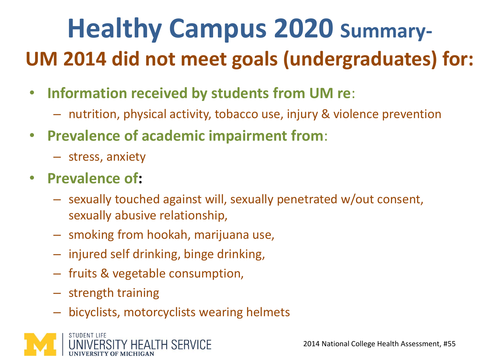#### **Healthy Campus 2020 Summary-UM 2014 did not meet goals (undergraduates) for:**

- **Information received by students from UM re**:
	- nutrition, physical activity, tobacco use, injury & violence prevention
- **Prevalence of academic impairment from**:
	- stress, anxiety
- **Prevalence of:**
	- sexually touched against will, sexually penetrated w/out consent, sexually abusive relationship,
	- smoking from hookah, marijuana use,
	- injured self drinking, binge drinking,
	- fruits & vegetable consumption,
	- strength training
	- bicyclists, motorcyclists wearing helmets